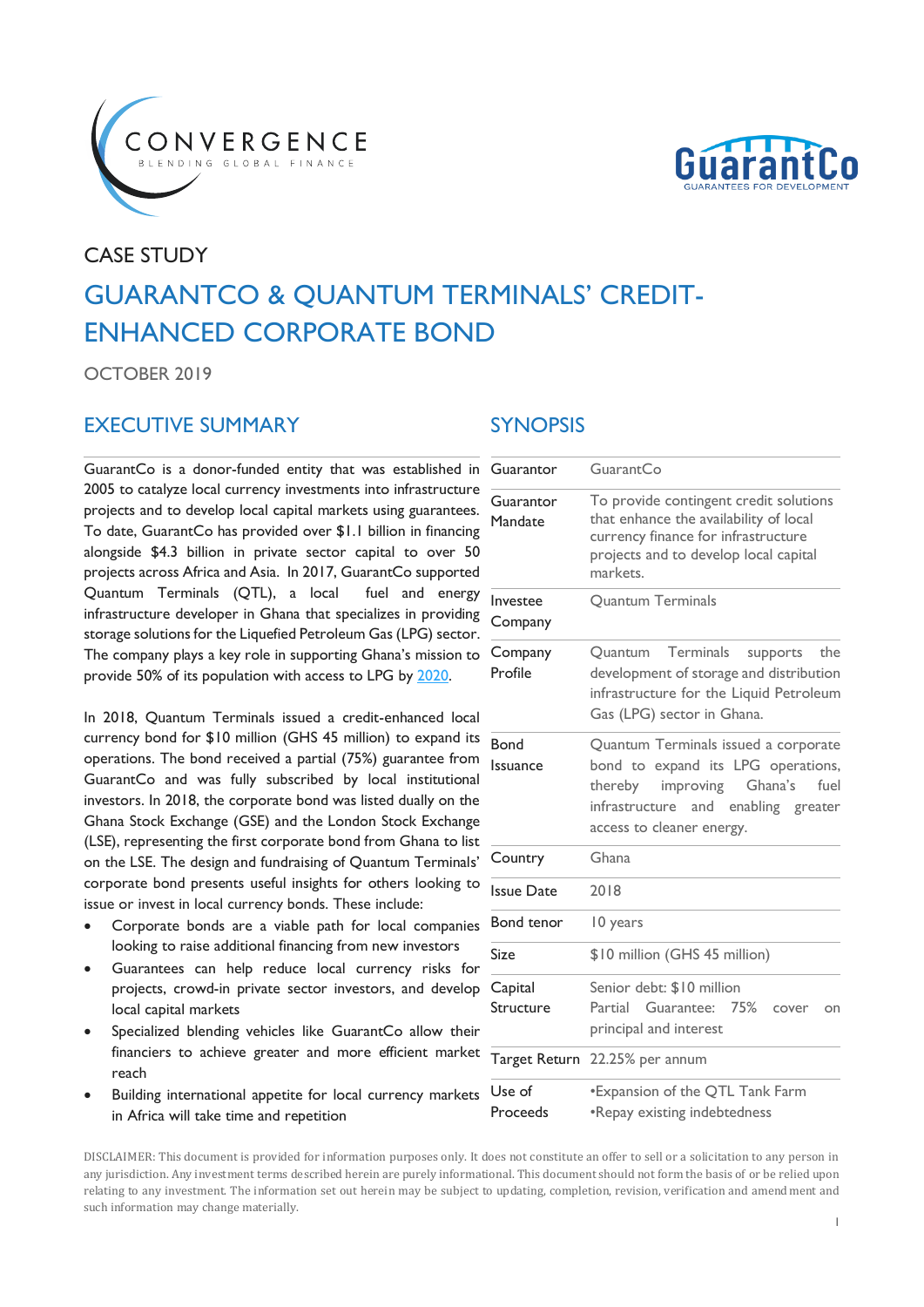



# CASE STUDY GUARANTCO & QUANTUM TERMINALS' CREDIT-ENHANCED CORPORATE BOND

OCTOBER 2019

### EXECUTIVE SUMMARY SYNOPSIS

GuarantCo is a donor-funded entity that was established in 2005 to catalyze local currency investments into infrastructure projects and to develop local capital markets using guarantees. To date, GuarantCo has provided over \$1.1 billion in financing alongside \$4.3 billion in private sector capital to over 50 projects across Africa and Asia. In 2017, GuarantCo supported Quantum Terminals (QTL), a local fuel and energy infrastructure developer in Ghana that specializes in providing storage solutions for the Liquefied Petroleum Gas (LPG) sector. The company plays a key role in supporting Ghana's mission to provide 50% of its population with access to LPG b[y 2020.](https://www.sciencedirect.com/science/article/pii/S097308261830262X)

In 2018, Quantum Terminals issued a credit-enhanced local currency bond for \$10 million (GHS 45 million) to expand its operations. The bond received a partial (75%) guarantee from GuarantCo and was fully subscribed by local institutional investors. In 2018, the corporate bond was listed dually on the Ghana Stock Exchange (GSE) and the London Stock Exchange (LSE), representing the first corporate bond from Ghana to list on the LSE. The design and fundraising of Quantum Terminals' corporate bond presents useful insights for others looking to issue or invest in local currency bonds. These include:

- Corporate bonds are a viable path for local companies looking to raise additional financing from new investors
- Guarantees can help reduce local currency risks for projects, crowd-in private sector investors, and develop local capital markets
- Specialized blending vehicles like GuarantCo allow their financiers to achieve greater and more efficient market reach
- Building international appetite for local currency markets in Africa will take time and repetition

| Guarantor               | GuarantCo                                                                                                                                                                                    |
|-------------------------|----------------------------------------------------------------------------------------------------------------------------------------------------------------------------------------------|
| Guarantor<br>Mandate    | To provide contingent credit solutions<br>that enhance the availability of local<br>currency finance for infrastructure<br>projects and to develop local capital<br>markets.                 |
| Investee<br>Company     | <b>Quantum Terminals</b>                                                                                                                                                                     |
| Company<br>Profile      | Terminals<br>Ouantum<br>supports<br>the<br>development of storage and distribution<br>infrastructure for the Liquid Petroleum<br>Gas (LPG) sector in Ghana.                                  |
| <b>Bond</b><br>Issuance | Quantum Terminals issued a corporate<br>bond to expand its LPG operations,<br>improving<br>Ghana's<br>fuel<br>thereby<br>infrastructure and<br>enabling greater<br>access to cleaner energy. |
| Country                 | Ghana                                                                                                                                                                                        |
| <b>Issue Date</b>       | 2018                                                                                                                                                                                         |
| <b>Bond tenor</b>       | 10 years                                                                                                                                                                                     |
| Size                    | \$10 million (GHS 45 million)                                                                                                                                                                |
| Capital<br>Structure    | Senior debt: \$10 million<br>Partial Guarantee: 75%<br>cover<br>on<br>principal and interest                                                                                                 |
| Target Return           | 22.25% per annum                                                                                                                                                                             |
| Use of<br>Proceeds      | *Expansion of the QTL Tank Farm<br>•Repay existing indebtedness                                                                                                                              |

DISCLAIMER: This document is provided for information purposes only. It does not constitute an offer to sell or a solicitation to any person in any jurisdiction. Any investment terms described herein are purely informational. This document should not form the basis of or be relied upon relating to any investment. The information set out herein may be subject to updating, completion, revision, verification and amendment and such information may change materially.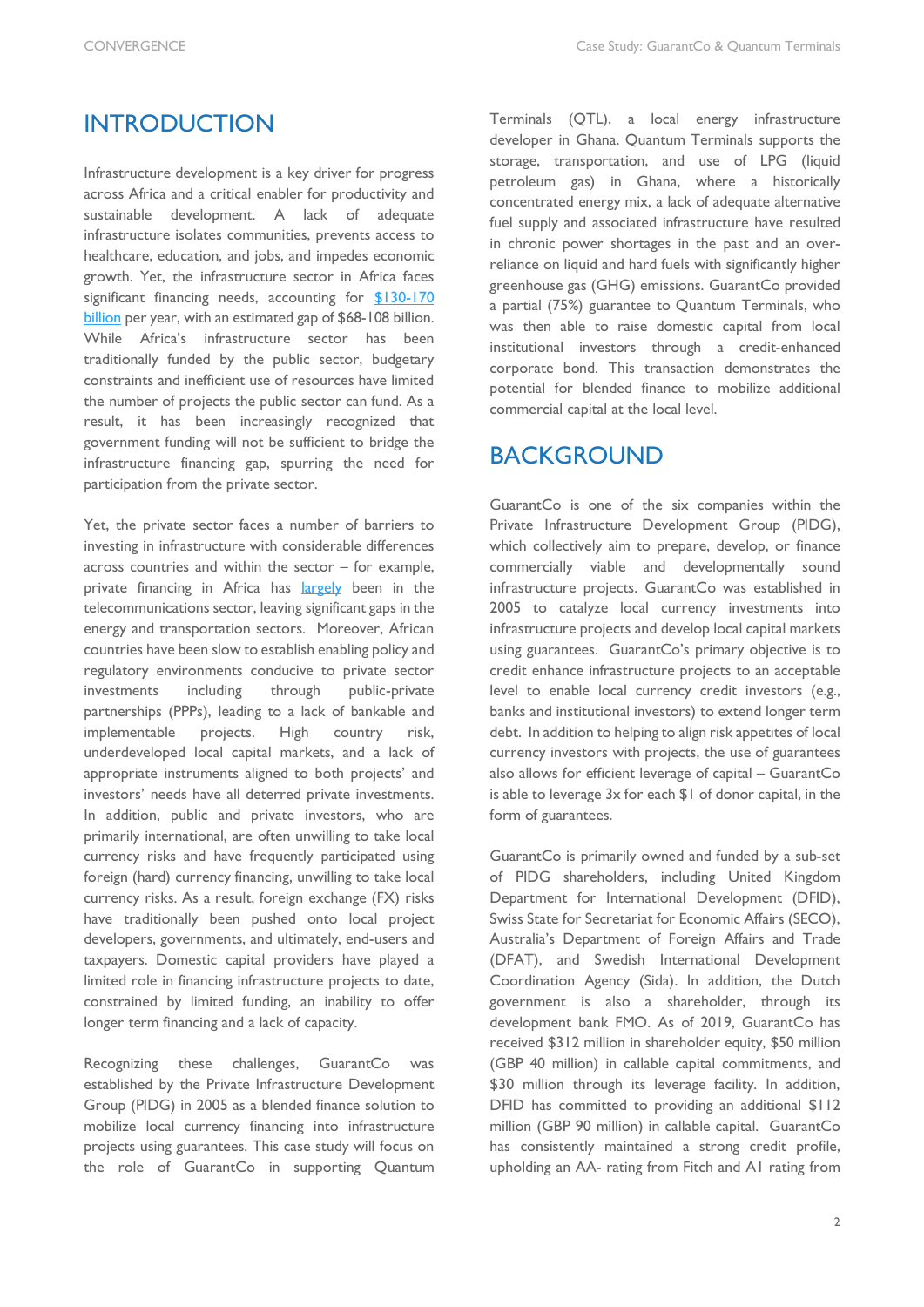### **INTRODUCTION**

Infrastructure development is a key driver for progress across Africa and a critical enabler for productivity and sustainable development. A lack of adequate infrastructure isolates communities, prevents access to healthcare, education, and jobs, and impedes economic growth. Yet, the infrastructure sector in Africa faces significant financing needs, accounting for \$130-170 [billion](https://www.africa50.com/about-us/our-mission/) per year, with an estimated gap of \$68-108 billion. While Africa's infrastructure sector has been traditionally funded by the public sector, budgetary constraints and inefficient use of resources have limited the number of projects the public sector can fund. As a result, it has been increasingly recognized that government funding will not be sufficient to bridge the infrastructure financing gap, spurring the need for participation from the private sector.

Yet, the private sector faces a number of barriers to investing in infrastructure with considerable differences across countries and within the sector – for example, private financing in Africa has [largely](https://www.brookings.edu/wp-content/uploads/2017/04/global_20170417_africa-energy-infrastructure.pdf) been in the telecommunications sector, leaving significant gaps in the energy and transportation sectors. Moreover, African countries have been slow to establish enabling policy and regulatory environments conducive to private sector investments including through public-private partnerships (PPPs), leading to a lack of bankable and implementable projects. High country risk, underdeveloped local capital markets, and a lack of appropriate instruments aligned to both projects' and investors' needs have all deterred private investments. In addition, public and private investors, who are primarily international, are often unwilling to take local currency risks and have frequently participated using foreign (hard) currency financing, unwilling to take local currency risks. As a result, foreign exchange (FX) risks have traditionally been pushed onto local project developers, governments, and ultimately, end-users and taxpayers. Domestic capital providers have played a limited role in financing infrastructure projects to date, constrained by limited funding, an inability to offer longer term financing and a lack of capacity.

Recognizing these challenges, GuarantCo was established by the Private Infrastructure Development Group (PIDG) in 2005 as a blended finance solution to mobilize local currency financing into infrastructure projects using guarantees. This case study will focus on the role of GuarantCo in supporting Quantum

Terminals (QTL), a local energy infrastructure developer in Ghana. Quantum Terminals supports the storage, transportation, and use of LPG (liquid petroleum gas) in Ghana, where a historically concentrated energy mix, a lack of adequate alternative fuel supply and associated infrastructure have resulted in chronic power shortages in the past and an overreliance on liquid and hard fuels with significantly higher greenhouse gas (GHG) emissions. GuarantCo provided a partial (75%) guarantee to Quantum Terminals, who was then able to raise domestic capital from local institutional investors through a credit-enhanced corporate bond. This transaction demonstrates the potential for blended finance to mobilize additional commercial capital at the local level.

### BACKGROUND

GuarantCo is one of the six companies within the Private Infrastructure Development Group (PIDG), which collectively aim to prepare, develop, or finance commercially viable and developmentally sound infrastructure projects. GuarantCo was established in 2005 to catalyze local currency investments into infrastructure projects and develop local capital markets using guarantees. GuarantCo's primary objective is to credit enhance infrastructure projects to an acceptable level to enable local currency credit investors (e.g., banks and institutional investors) to extend longer term debt. In addition to helping to align risk appetites of local currency investors with projects, the use of guarantees also allows for efficient leverage of capital – GuarantCo is able to leverage 3x for each \$1 of donor capital, in the form of guarantees.

GuarantCo is primarily owned and funded by a sub-set of PIDG shareholders, including United Kingdom Department for International Development (DFID), Swiss State for Secretariat for Economic Affairs (SECO), Australia's Department of Foreign Affairs and Trade (DFAT), and Swedish International Development Coordination Agency (Sida). In addition, the Dutch government is also a shareholder, through its development bank FMO. As of 2019, GuarantCo has received \$312 million in shareholder equity, \$50 million (GBP 40 million) in callable capital commitments, and \$30 million through its leverage facility. In addition, DFID has committed to providing an additional \$112 million (GBP 90 million) in callable capital. GuarantCo has consistently maintained a strong credit profile, upholding an AA- rating from Fitch and A1 rating from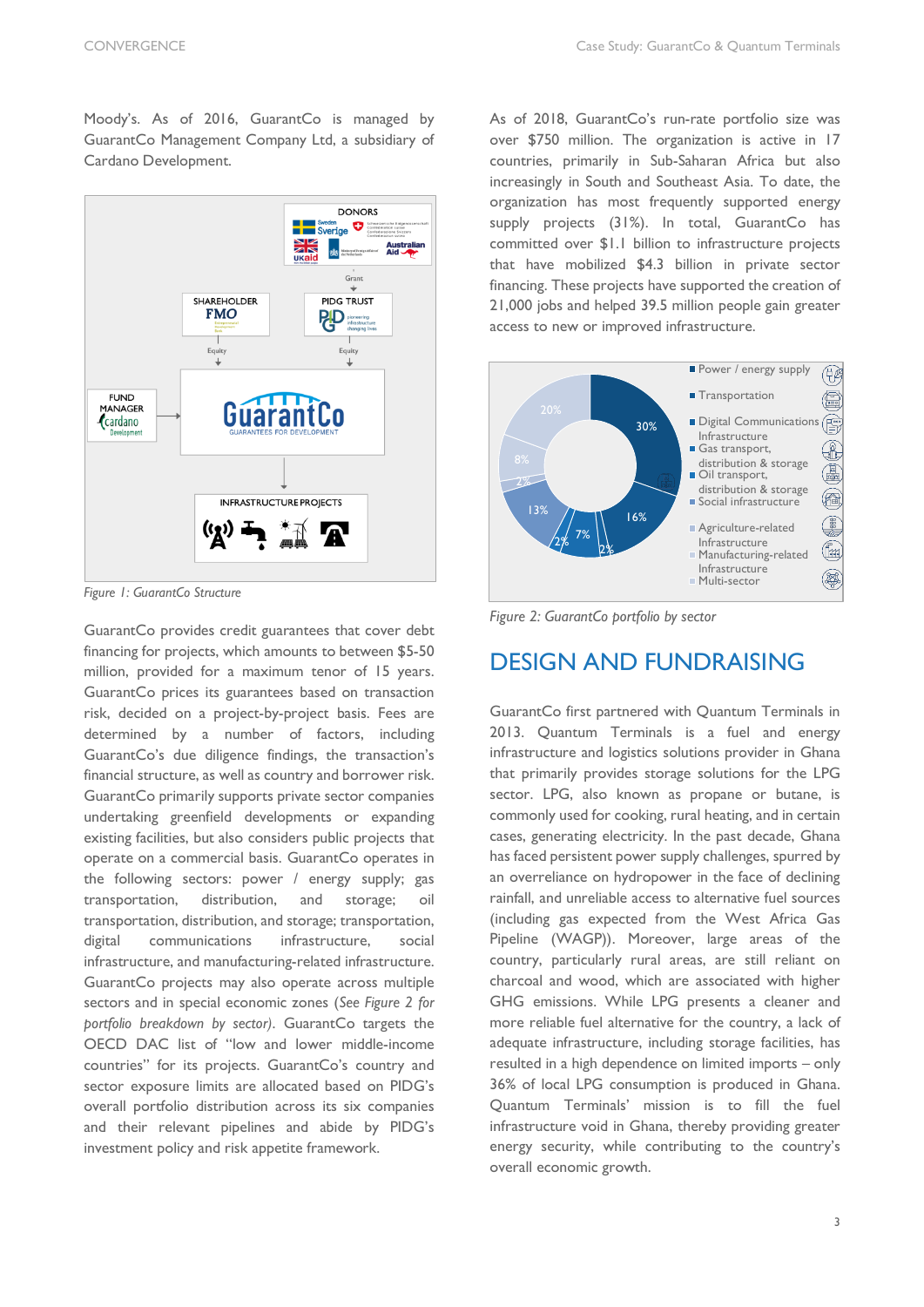Moody's. As of 2016, GuarantCo is managed by GuarantCo Management Company Ltd, a subsidiary of Cardano Development.



*Figure 1: GuarantCo Structure*

GuarantCo provides credit guarantees that cover debt financing for projects, which amounts to between \$5-50 million, provided for a maximum tenor of 15 years. GuarantCo prices its guarantees based on transaction risk, decided on a project-by-project basis. Fees are determined by a number of factors, including GuarantCo's due diligence findings, the transaction's financial structure, as well as country and borrower risk. GuarantCo primarily supports private sector companies undertaking greenfield developments or expanding existing facilities, but also considers public projects that operate on a commercial basis. GuarantCo operates in the following sectors: power / energy supply; gas transportation, distribution, and storage; oil transportation, distribution, and storage; transportation, digital communications infrastructure, social infrastructure, and manufacturing-related infrastructure. GuarantCo projects may also operate across multiple sectors and in special economic zones (*See Figure 2 for portfolio breakdown by sector)*. GuarantCo targets the OECD DAC list of "low and lower middle-income countries" for its projects. GuarantCo's country and sector exposure limits are allocated based on PIDG's overall portfolio distribution across its six companies and their relevant pipelines and abide by PIDG's investment policy and risk appetite framework.

As of 2018, GuarantCo's run-rate portfolio size was over \$750 million. The organization is active in 17 countries, primarily in Sub-Saharan Africa but also increasingly in South and Southeast Asia. To date, the organization has most frequently supported energy supply projects (31%). In total, GuarantCo has committed over \$1.1 billion to infrastructure projects that have mobilized \$4.3 billion in private sector financing. These projects have supported the creation of 21,000 jobs and helped 39.5 million people gain greater access to new or improved infrastructure.



*Figure 2: GuarantCo portfolio by sector*

# DESIGN AND FUNDRAISING

GuarantCo first partnered with Quantum Terminals in 2013. Quantum Terminals is a fuel and energy infrastructure and logistics solutions provider in Ghana that primarily provides storage solutions for the LPG sector. LPG, also known as propane or butane, is commonly used for cooking, rural heating, and in certain cases, generating electricity. In the past decade, Ghana has faced persistent power supply challenges, spurred by an overreliance on hydropower in the face of declining rainfall, and unreliable access to alternative fuel sources (including gas expected from the West Africa Gas Pipeline (WAGP)). Moreover, large areas of the country, particularly rural areas, are still reliant on charcoal and wood, which are associated with higher GHG emissions. While LPG presents a cleaner and more reliable fuel alternative for the country, a lack of adequate infrastructure, including storage facilities, has resulted in a high dependence on limited imports – only 36% of local LPG consumption is produced in Ghana. Quantum Terminals' mission is to fill the fuel infrastructure void in Ghana, thereby providing greater energy security, while contributing to the country's overall economic growth.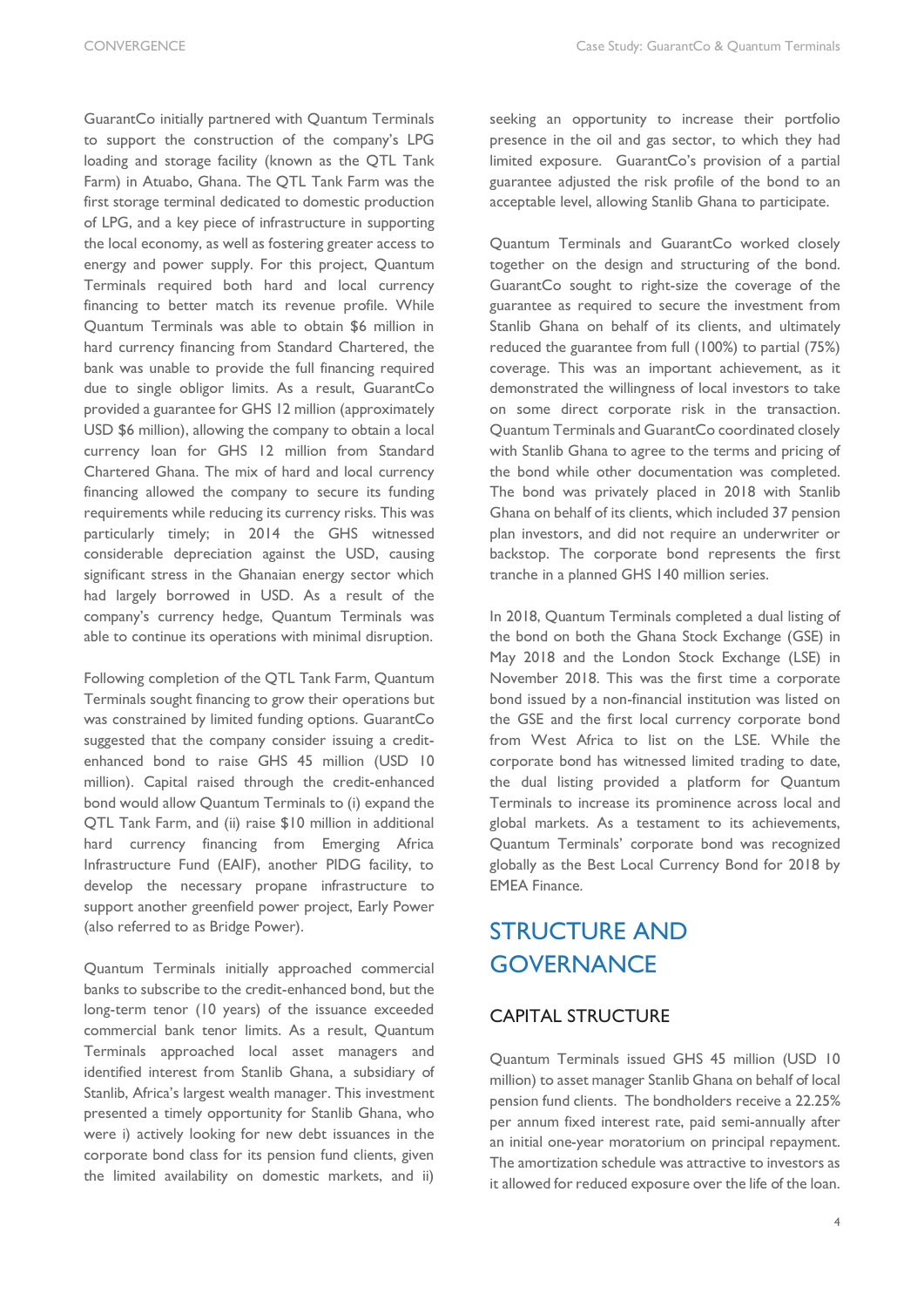GuarantCo initially partnered with Quantum Terminals to support the construction of the company's LPG loading and storage facility (known as the QTL Tank Farm) in Atuabo, Ghana. The QTL Tank Farm was the first storage terminal dedicated to domestic production of LPG, and a key piece of infrastructure in supporting the local economy, as well as fostering greater access to energy and power supply. For this project, Quantum Terminals required both hard and local currency financing to better match its revenue profile. While Quantum Terminals was able to obtain \$6 million in hard currency financing from Standard Chartered, the bank was unable to provide the full financing required due to single obligor limits. As a result, GuarantCo provided a guarantee for GHS 12 million (approximately USD \$6 million), allowing the company to obtain a local currency loan for GHS 12 million from Standard Chartered Ghana. The mix of hard and local currency financing allowed the company to secure its funding requirements while reducing its currency risks. This was particularly timely; in 2014 the GHS witnessed considerable depreciation against the USD, causing significant stress in the Ghanaian energy sector which had largely borrowed in USD. As a result of the company's currency hedge, Quantum Terminals was able to continue its operations with minimal disruption.

Following completion of the QTL Tank Farm, Quantum Terminals sought financing to grow their operations but was constrained by limited funding options. GuarantCo suggested that the company consider issuing a creditenhanced bond to raise GHS 45 million (USD 10 million). Capital raised through the credit-enhanced bond would allow Quantum Terminals to (i) expand the QTL Tank Farm, and (ii) raise \$10 million in additional hard currency financing from Emerging Africa Infrastructure Fund (EAIF), another PIDG facility, to develop the necessary propane infrastructure to support another greenfield power project, Early Power (also referred to as Bridge Power).

Quantum Terminals initially approached commercial banks to subscribe to the credit-enhanced bond, but the long-term tenor (10 years) of the issuance exceeded commercial bank tenor limits. As a result, Quantum Terminals approached local asset managers and identified interest from Stanlib Ghana, a subsidiary of Stanlib, Africa's largest wealth manager. This investment presented a timely opportunity for Stanlib Ghana, who were i) actively looking for new debt issuances in the corporate bond class for its pension fund clients, given the limited availability on domestic markets, and ii)

seeking an opportunity to increase their portfolio presence in the oil and gas sector, to which they had limited exposure. GuarantCo's provision of a partial guarantee adjusted the risk profile of the bond to an acceptable level, allowing Stanlib Ghana to participate.

Quantum Terminals and GuarantCo worked closely together on the design and structuring of the bond. GuarantCo sought to right-size the coverage of the guarantee as required to secure the investment from Stanlib Ghana on behalf of its clients, and ultimately reduced the guarantee from full (100%) to partial (75%) coverage. This was an important achievement, as it demonstrated the willingness of local investors to take on some direct corporate risk in the transaction. Quantum Terminals and GuarantCo coordinated closely with Stanlib Ghana to agree to the terms and pricing of the bond while other documentation was completed. The bond was privately placed in 2018 with Stanlib Ghana on behalf of its clients, which included 37 pension plan investors, and did not require an underwriter or backstop. The corporate bond represents the first tranche in a planned GHS 140 million series.

In 2018, Quantum Terminals completed a dual listing of the bond on both the Ghana Stock Exchange (GSE) in May 2018 and the London Stock Exchange (LSE) in November 2018. This was the first time a corporate bond issued by a non-financial institution was listed on the GSE and the first local currency corporate bond from West Africa to list on the LSE. While the corporate bond has witnessed limited trading to date, the dual listing provided a platform for Quantum Terminals to increase its prominence across local and global markets. As a testament to its achievements, Quantum Terminals' corporate bond was recognized globally as the Best Local Currency Bond for 2018 by EMEA Finance.

# STRUCTURE AND **GOVERNANCE**

#### CAPITAL STRUCTURE

Quantum Terminals issued GHS 45 million (USD 10 million) to asset manager Stanlib Ghana on behalf of local pension fund clients. The bondholders receive a 22.25% per annum fixed interest rate, paid semi-annually after an initial one-year moratorium on principal repayment. The amortization schedule was attractive to investors as it allowed for reduced exposure over the life of the loan.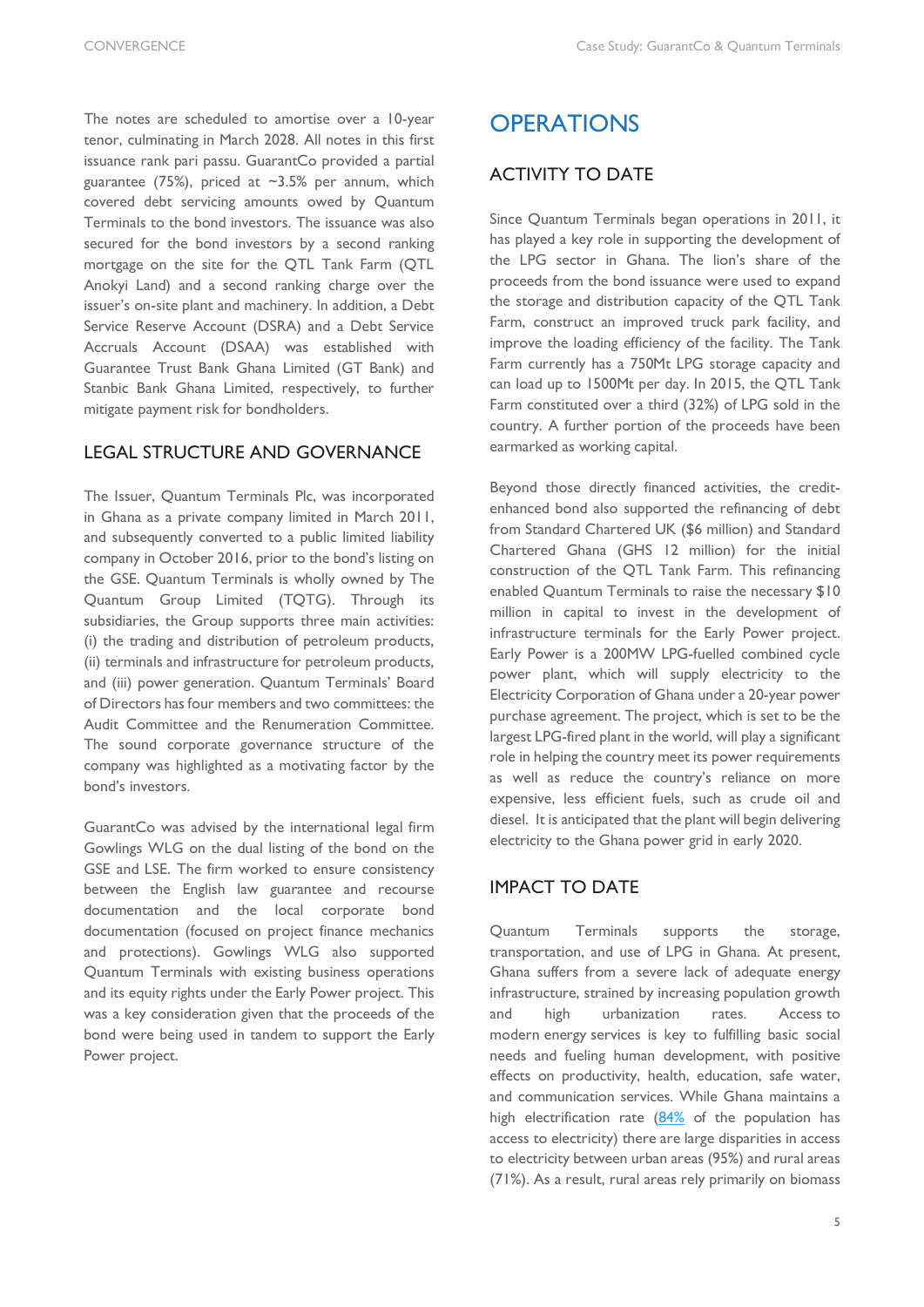The notes are scheduled to amortise over a 10-year tenor, culminating in March 2028. All notes in this first issuance rank pari passu. GuarantCo provided a partial guarantee (75%), priced at ~3.5% per annum, which covered debt servicing amounts owed by Quantum Terminals to the bond investors. The issuance was also secured for the bond investors by a second ranking mortgage on the site for the QTL Tank Farm (QTL Anokyi Land) and a second ranking charge over the issuer's on-site plant and machinery. In addition, a Debt Service Reserve Account (DSRA) and a Debt Service Accruals Account (DSAA) was established with Guarantee Trust Bank Ghana Limited (GT Bank) and Stanbic Bank Ghana Limited, respectively, to further mitigate payment risk for bondholders.

#### LEGAL STRUCTURE AND GOVERNANCE

The Issuer, Quantum Terminals Plc, was incorporated in Ghana as a private company limited in March 2011, and subsequently converted to a public limited liability company in October 2016, prior to the bond's listing on the GSE. Quantum Terminals is wholly owned by The Quantum Group Limited (TQTG). Through its subsidiaries, the Group supports three main activities: (i) the trading and distribution of petroleum products, (ii) terminals and infrastructure for petroleum products, and (iii) power generation. Quantum Terminals' Board of Directors has four members and two committees: the Audit Committee and the Renumeration Committee. The sound corporate governance structure of the company was highlighted as a motivating factor by the bond's investors.

GuarantCo was advised by the international legal firm Gowlings WLG on the dual listing of the bond on the GSE and LSE. The firm worked to ensure consistency between the English law guarantee and recourse documentation and the local corporate bond documentation (focused on project finance mechanics and protections). Gowlings WLG also supported Quantum Terminals with existing business operations and its equity rights under the Early Power project. This was a key consideration given that the proceeds of the bond were being used in tandem to support the Early Power project.

## **OPERATIONS**

#### ACTIVITY TO DATE

Since Quantum Terminals began operations in 2011, it has played a key role in supporting the development of the LPG sector in Ghana. The lion's share of the proceeds from the bond issuance were used to expand the storage and distribution capacity of the QTL Tank Farm, construct an improved truck park facility, and improve the loading efficiency of the facility. The Tank Farm currently has a 750Mt LPG storage capacity and can load up to 1500Mt per day. In 2015, the QTL Tank Farm constituted over a third (32%) of LPG sold in the country. A further portion of the proceeds have been earmarked as working capital.

Beyond those directly financed activities, the creditenhanced bond also supported the refinancing of debt from Standard Chartered UK (\$6 million) and Standard Chartered Ghana (GHS 12 million) for the initial construction of the QTL Tank Farm. This refinancing enabled Quantum Terminals to raise the necessary \$10 million in capital to invest in the development of infrastructure terminals for the Early Power project. Early Power is a 200MW LPG-fuelled combined cycle power plant, which will supply electricity to the Electricity Corporation of Ghana under a 20-year power purchase agreement. The project, which is set to be the largest LPG-fired plant in the world, will play a significant role in helping the country meet its power requirements as well as reduce the country's reliance on more expensive, less efficient fuels, such as crude oil and diesel. It is anticipated that the plant will begin delivering electricity to the Ghana power grid in early 2020.

#### IMPACT TO DATE

Quantum Terminals supports the storage, transportation, and use of LPG in Ghana. At present, Ghana suffers from a severe lack of adequate energy infrastructure, strained by increasing population growth and high urbanization rates. Access to modern energy services is key to fulfilling basic social needs and fueling human development, with positive effects on productivity, health, education, safe water, and communication services. While Ghana maintains a high electrification rate [\(84%](https://www.eia.gov/beta/international/analysis.php?iso=GHA) of the population has access to electricity) there are large disparities in access to electricity between urban areas (95%) and rural areas (71%). As a result, rural areas rely primarily on biomass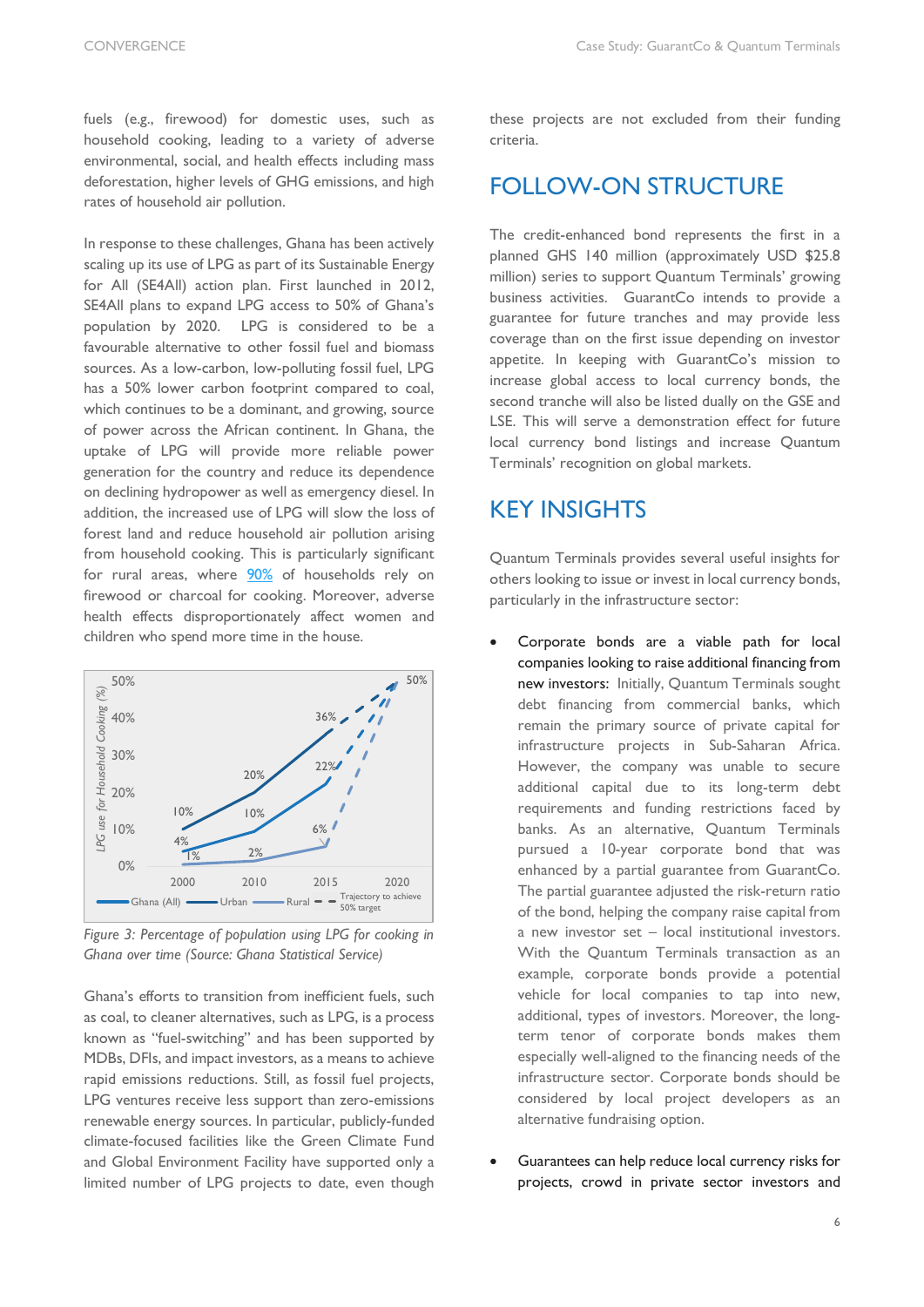fuels (e.g., firewood) for domestic uses, such as household cooking, leading to a variety of adverse environmental, social, and health effects including mass deforestation, higher levels of GHG emissions, and high rates of household air pollution.

In response to these challenges, Ghana has been actively scaling up its use of LPG as part of its Sustainable Energy for All (SE4All) action plan. First launched in 2012, SE4All plans to expand LPG access to 50% of Ghana's population by 2020. LPG is considered to be a favourable alternative to other fossil fuel and biomass sources. As a low-carbon, low-polluting fossil fuel, LPG has a 50% lower carbon footprint compared to coal, which continues to be a dominant, and growing, source of power across the African continent. In Ghana, the uptake of LPG will provide more reliable power generation for the country and reduce its dependence on declining hydropower as well as emergency diesel. In addition, the increased use of LPG will slow the loss of forest land and reduce household air pollution arising from household cooking. This is particularly significant for rural areas, where [90%](https://www.sciencedirect.com/science/article/pii/S097308261830262X) of households rely on firewood or charcoal for cooking. Moreover, adverse health effects disproportionately affect women and children who spend more time in the house.



*Figure 3: Percentage of population using LPG for cooking in Ghana over time (Source: Ghana Statistical Service)*

Ghana's efforts to transition from inefficient fuels, such as coal, to cleaner alternatives, such as LPG, is a process known as "fuel-switching" and has been supported by MDBs, DFIs, and impact investors, as a means to achieve rapid emissions reductions. Still, as fossil fuel projects, LPG ventures receive less support than zero-emissions renewable energy sources. In particular, publicly-funded climate-focused facilities like the Green Climate Fund and Global Environment Facility have supported only a limited number of LPG projects to date, even though

these projects are not excluded from their funding criteria.

### FOLLOW-ON STRUCTURE

The credit-enhanced bond represents the first in a planned GHS 140 million (approximately USD \$25.8 million) series to support Quantum Terminals' growing business activities. GuarantCo intends to provide a guarantee for future tranches and may provide less coverage than on the first issue depending on investor appetite. In keeping with GuarantCo's mission to increase global access to local currency bonds, the second tranche will also be listed dually on the GSE and LSE. This will serve a demonstration effect for future local currency bond listings and increase Quantum Terminals' recognition on global markets.

### KEY INSIGHTS

Quantum Terminals provides several useful insights for others looking to issue or invest in local currency bonds, particularly in the infrastructure sector:

- Corporate bonds are a viable path for local companies looking to raise additional financing from new investors: Initially, Quantum Terminals sought debt financing from commercial banks, which remain the primary source of private capital for infrastructure projects in Sub-Saharan Africa. However, the company was unable to secure additional capital due to its long-term debt requirements and funding restrictions faced by banks. As an alternative, Quantum Terminals pursued a 10-year corporate bond that was enhanced by a partial guarantee from GuarantCo. The partial guarantee adjusted the risk-return ratio of the bond, helping the company raise capital from a new investor set – local institutional investors. With the Quantum Terminals transaction as an example, corporate bonds provide a potential vehicle for local companies to tap into new, additional, types of investors. Moreover, the longterm tenor of corporate bonds makes them especially well-aligned to the financing needs of the infrastructure sector. Corporate bonds should be considered by local project developers as an alternative fundraising option.
- Guarantees can help reduce local currency risks for projects, crowd in private sector investors and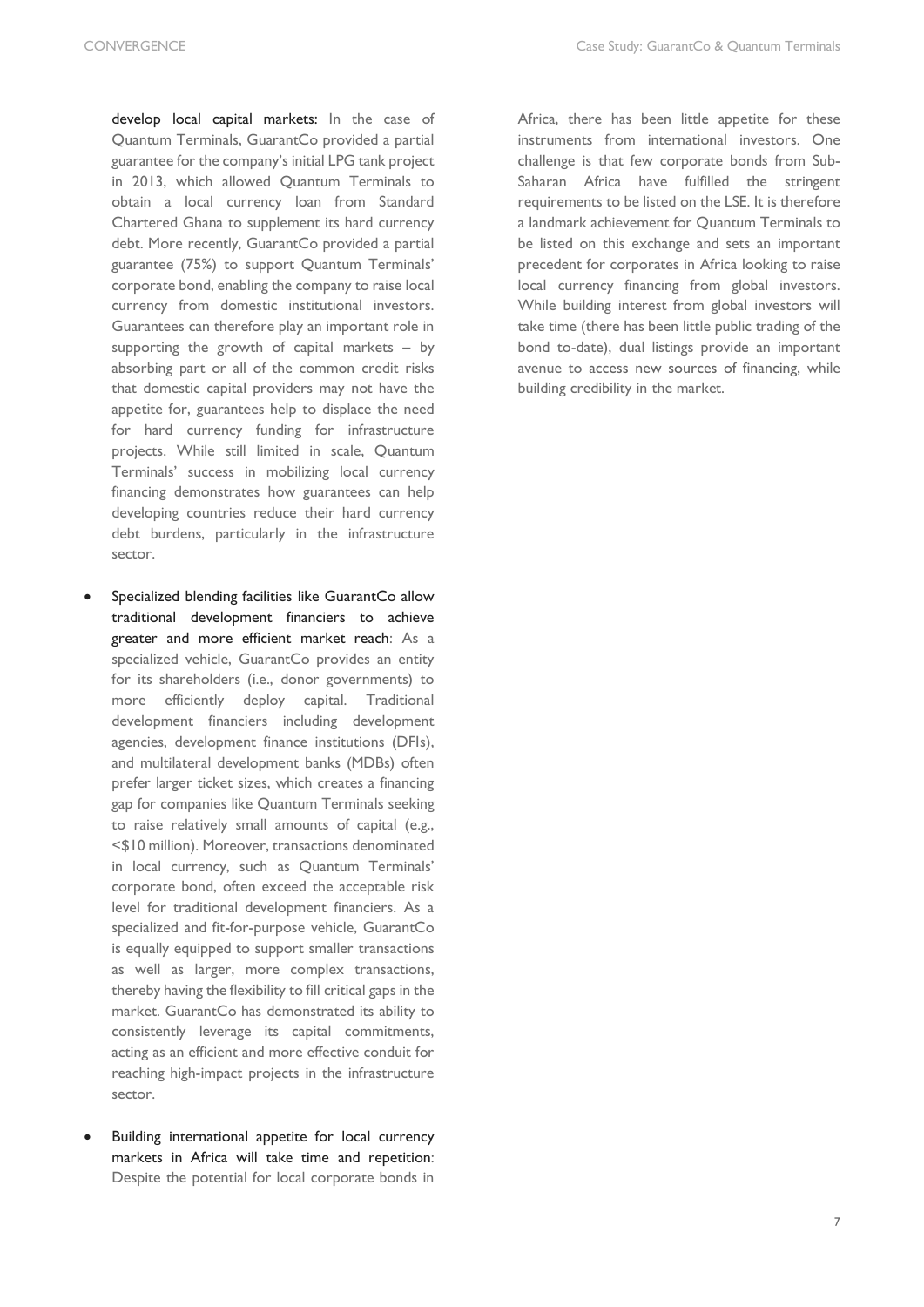develop local capital markets: In the case of Quantum Terminals, GuarantCo provided a partial guarantee for the company's initial LPG tank project in 2013, which allowed Quantum Terminals to obtain a local currency loan from Standard Chartered Ghana to supplement its hard currency debt. More recently, GuarantCo provided a partial guarantee (75%) to support Quantum Terminals' corporate bond, enabling the company to raise local currency from domestic institutional investors. Guarantees can therefore play an important role in supporting the growth of capital markets – by absorbing part or all of the common credit risks that domestic capital providers may not have the appetite for, guarantees help to displace the need for hard currency funding for infrastructure projects. While still limited in scale, Quantum Terminals' success in mobilizing local currency financing demonstrates how guarantees can help developing countries reduce their hard currency debt burdens, particularly in the infrastructure sector.

- Specialized blending facilities like GuarantCo allow traditional development financiers to achieve greater and more efficient market reach: As a specialized vehicle, GuarantCo provides an entity for its shareholders (i.e., donor governments) to more efficiently deploy capital. Traditional development financiers including development agencies, development finance institutions (DFIs), and multilateral development banks (MDBs) often prefer larger ticket sizes, which creates a financing gap for companies like Quantum Terminals seeking to raise relatively small amounts of capital (e.g., <\$10 million). Moreover, transactions denominated in local currency, such as Quantum Terminals' corporate bond, often exceed the acceptable risk level for traditional development financiers. As a specialized and fit-for-purpose vehicle, GuarantCo is equally equipped to support smaller transactions as well as larger, more complex transactions, thereby having the flexibility to fill critical gaps in the market. GuarantCo has demonstrated its ability to consistently leverage its capital commitments, acting as an efficient and more effective conduit for reaching high-impact projects in the infrastructure sector.
- Building international appetite for local currency markets in Africa will take time and repetition: Despite the potential for local corporate bonds in

Africa, there has been little appetite for these instruments from international investors. One challenge is that few corporate bonds from Sub-Saharan Africa have fulfilled the stringent requirements to be listed on the LSE. It is therefore a landmark achievement for Quantum Terminals to be listed on this exchange and sets an important precedent for corporates in Africa looking to raise local currency financing from global investors. While building interest from global investors will take time (there has been little public trading of the bond to-date), dual listings provide an important avenue to access new sources of financing, while building credibility in the market.